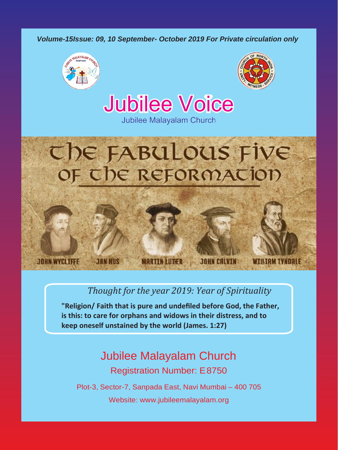*Volume-15Issue: 09, 10 September- October 2019 For Private circulation only*



**JOHN WYCLIFFE** 

**JAN HIIS** 



**Jubilee Voice** 

Jubilee Malayalam Church

# The FABULOUS Five OF The ReFORMATION

## *Thought for the year 2019: Year of Spirituality*

**JOHN CALVIN** 

**"Religion/ Faith that is pure and undefiled before God, the Father, is this: to care for orphans and widows in their distress, and to keep oneself unstained by the world (James. 1:27)**

**MARTIN LUTHER** 

# Jubilee Malayalam Church Registration Number: E8750

Plot-3, Sector-7, Sanpada East, Navi Mumbai – 400 705 Website: [www.jubileemalayalam.org](http://www.jubileemalayalam.org/)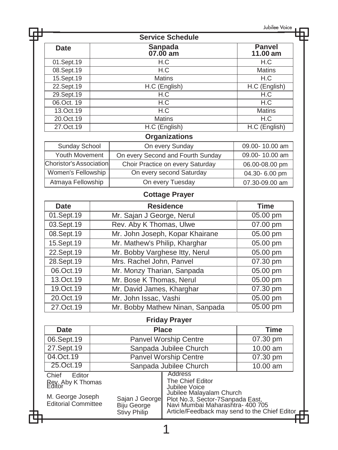|                                                                                                                                                                                                                                                                                                                                     |                                                                                                                     |                     | Jubilee Voice                                                                                                                                                                                                                                                                                                                                                                                                                                                                                                                                                                                                                                                                                                                                                                                                                                                                   |
|-------------------------------------------------------------------------------------------------------------------------------------------------------------------------------------------------------------------------------------------------------------------------------------------------------------------------------------|---------------------------------------------------------------------------------------------------------------------|---------------------|---------------------------------------------------------------------------------------------------------------------------------------------------------------------------------------------------------------------------------------------------------------------------------------------------------------------------------------------------------------------------------------------------------------------------------------------------------------------------------------------------------------------------------------------------------------------------------------------------------------------------------------------------------------------------------------------------------------------------------------------------------------------------------------------------------------------------------------------------------------------------------|
|                                                                                                                                                                                                                                                                                                                                     |                                                                                                                     |                     |                                                                                                                                                                                                                                                                                                                                                                                                                                                                                                                                                                                                                                                                                                                                                                                                                                                                                 |
|                                                                                                                                                                                                                                                                                                                                     |                                                                                                                     |                     | Panvel<br>11.00 am                                                                                                                                                                                                                                                                                                                                                                                                                                                                                                                                                                                                                                                                                                                                                                                                                                                              |
|                                                                                                                                                                                                                                                                                                                                     |                                                                                                                     |                     | H.C                                                                                                                                                                                                                                                                                                                                                                                                                                                                                                                                                                                                                                                                                                                                                                                                                                                                             |
|                                                                                                                                                                                                                                                                                                                                     |                                                                                                                     |                     | <b>Matins</b>                                                                                                                                                                                                                                                                                                                                                                                                                                                                                                                                                                                                                                                                                                                                                                                                                                                                   |
|                                                                                                                                                                                                                                                                                                                                     |                                                                                                                     |                     | H.C                                                                                                                                                                                                                                                                                                                                                                                                                                                                                                                                                                                                                                                                                                                                                                                                                                                                             |
|                                                                                                                                                                                                                                                                                                                                     |                                                                                                                     |                     | H.C (English)                                                                                                                                                                                                                                                                                                                                                                                                                                                                                                                                                                                                                                                                                                                                                                                                                                                                   |
|                                                                                                                                                                                                                                                                                                                                     |                                                                                                                     |                     | H.C                                                                                                                                                                                                                                                                                                                                                                                                                                                                                                                                                                                                                                                                                                                                                                                                                                                                             |
|                                                                                                                                                                                                                                                                                                                                     |                                                                                                                     |                     | H.C                                                                                                                                                                                                                                                                                                                                                                                                                                                                                                                                                                                                                                                                                                                                                                                                                                                                             |
|                                                                                                                                                                                                                                                                                                                                     |                                                                                                                     |                     | <b>Matins</b><br>H.C                                                                                                                                                                                                                                                                                                                                                                                                                                                                                                                                                                                                                                                                                                                                                                                                                                                            |
|                                                                                                                                                                                                                                                                                                                                     |                                                                                                                     |                     | H.C (English)                                                                                                                                                                                                                                                                                                                                                                                                                                                                                                                                                                                                                                                                                                                                                                                                                                                                   |
|                                                                                                                                                                                                                                                                                                                                     |                                                                                                                     |                     |                                                                                                                                                                                                                                                                                                                                                                                                                                                                                                                                                                                                                                                                                                                                                                                                                                                                                 |
|                                                                                                                                                                                                                                                                                                                                     |                                                                                                                     |                     |                                                                                                                                                                                                                                                                                                                                                                                                                                                                                                                                                                                                                                                                                                                                                                                                                                                                                 |
|                                                                                                                                                                                                                                                                                                                                     |                                                                                                                     |                     | 09.00-10.00 am                                                                                                                                                                                                                                                                                                                                                                                                                                                                                                                                                                                                                                                                                                                                                                                                                                                                  |
|                                                                                                                                                                                                                                                                                                                                     |                                                                                                                     |                     | 09.00-10.00 am                                                                                                                                                                                                                                                                                                                                                                                                                                                                                                                                                                                                                                                                                                                                                                                                                                                                  |
|                                                                                                                                                                                                                                                                                                                                     |                                                                                                                     |                     | 06.00-08.00 pm                                                                                                                                                                                                                                                                                                                                                                                                                                                                                                                                                                                                                                                                                                                                                                                                                                                                  |
|                                                                                                                                                                                                                                                                                                                                     |                                                                                                                     |                     | 04.30-6.00 pm                                                                                                                                                                                                                                                                                                                                                                                                                                                                                                                                                                                                                                                                                                                                                                                                                                                                   |
|                                                                                                                                                                                                                                                                                                                                     |                                                                                                                     |                     | 07.30-09.00 am                                                                                                                                                                                                                                                                                                                                                                                                                                                                                                                                                                                                                                                                                                                                                                                                                                                                  |
|                                                                                                                                                                                                                                                                                                                                     |                                                                                                                     |                     |                                                                                                                                                                                                                                                                                                                                                                                                                                                                                                                                                                                                                                                                                                                                                                                                                                                                                 |
|                                                                                                                                                                                                                                                                                                                                     |                                                                                                                     |                     | <b>Time</b>                                                                                                                                                                                                                                                                                                                                                                                                                                                                                                                                                                                                                                                                                                                                                                                                                                                                     |
|                                                                                                                                                                                                                                                                                                                                     |                                                                                                                     |                     | 05.00 pm                                                                                                                                                                                                                                                                                                                                                                                                                                                                                                                                                                                                                                                                                                                                                                                                                                                                        |
|                                                                                                                                                                                                                                                                                                                                     |                                                                                                                     |                     | 07.00 pm                                                                                                                                                                                                                                                                                                                                                                                                                                                                                                                                                                                                                                                                                                                                                                                                                                                                        |
|                                                                                                                                                                                                                                                                                                                                     |                                                                                                                     |                     | 05.00 pm                                                                                                                                                                                                                                                                                                                                                                                                                                                                                                                                                                                                                                                                                                                                                                                                                                                                        |
|                                                                                                                                                                                                                                                                                                                                     |                                                                                                                     |                     | 05.00 pm                                                                                                                                                                                                                                                                                                                                                                                                                                                                                                                                                                                                                                                                                                                                                                                                                                                                        |
|                                                                                                                                                                                                                                                                                                                                     |                                                                                                                     |                     | 05.00 pm                                                                                                                                                                                                                                                                                                                                                                                                                                                                                                                                                                                                                                                                                                                                                                                                                                                                        |
|                                                                                                                                                                                                                                                                                                                                     |                                                                                                                     |                     | 07.30 pm                                                                                                                                                                                                                                                                                                                                                                                                                                                                                                                                                                                                                                                                                                                                                                                                                                                                        |
|                                                                                                                                                                                                                                                                                                                                     |                                                                                                                     |                     | 05.00 pm                                                                                                                                                                                                                                                                                                                                                                                                                                                                                                                                                                                                                                                                                                                                                                                                                                                                        |
|                                                                                                                                                                                                                                                                                                                                     |                                                                                                                     |                     | 05.00 pm                                                                                                                                                                                                                                                                                                                                                                                                                                                                                                                                                                                                                                                                                                                                                                                                                                                                        |
|                                                                                                                                                                                                                                                                                                                                     |                                                                                                                     |                     | 07.30 pm                                                                                                                                                                                                                                                                                                                                                                                                                                                                                                                                                                                                                                                                                                                                                                                                                                                                        |
|                                                                                                                                                                                                                                                                                                                                     |                                                                                                                     |                     | 05.00 pm                                                                                                                                                                                                                                                                                                                                                                                                                                                                                                                                                                                                                                                                                                                                                                                                                                                                        |
|                                                                                                                                                                                                                                                                                                                                     |                                                                                                                     |                     | 05.00 pm                                                                                                                                                                                                                                                                                                                                                                                                                                                                                                                                                                                                                                                                                                                                                                                                                                                                        |
|                                                                                                                                                                                                                                                                                                                                     |                                                                                                                     |                     |                                                                                                                                                                                                                                                                                                                                                                                                                                                                                                                                                                                                                                                                                                                                                                                                                                                                                 |
|                                                                                                                                                                                                                                                                                                                                     |                                                                                                                     |                     | <b>Time</b>                                                                                                                                                                                                                                                                                                                                                                                                                                                                                                                                                                                                                                                                                                                                                                                                                                                                     |
|                                                                                                                                                                                                                                                                                                                                     |                                                                                                                     |                     | 07.30 pm                                                                                                                                                                                                                                                                                                                                                                                                                                                                                                                                                                                                                                                                                                                                                                                                                                                                        |
|                                                                                                                                                                                                                                                                                                                                     |                                                                                                                     |                     | $10.00$ am                                                                                                                                                                                                                                                                                                                                                                                                                                                                                                                                                                                                                                                                                                                                                                                                                                                                      |
|                                                                                                                                                                                                                                                                                                                                     |                                                                                                                     |                     | 07.30 pm                                                                                                                                                                                                                                                                                                                                                                                                                                                                                                                                                                                                                                                                                                                                                                                                                                                                        |
|                                                                                                                                                                                                                                                                                                                                     |                                                                                                                     |                     | 10.00 am                                                                                                                                                                                                                                                                                                                                                                                                                                                                                                                                                                                                                                                                                                                                                                                                                                                                        |
| <b>Address</b><br>Chief<br>Editor<br>The Chief Editor<br>Rev. Aby K Thomas<br>Jubilee Voice<br>Jubilee Malayalam Church<br>M. George Joseph<br>Sajan J George<br>Plot No.3, Sector-7Sanpada East,<br><b>Editorial Committee</b><br>Biju George<br>Navi Mumbai Maharashtra- 400 705<br>Article/Feedback may send to the Chief Editor |                                                                                                                     |                     |                                                                                                                                                                                                                                                                                                                                                                                                                                                                                                                                                                                                                                                                                                                                                                                                                                                                                 |
|                                                                                                                                                                                                                                                                                                                                     |                                                                                                                     |                     |                                                                                                                                                                                                                                                                                                                                                                                                                                                                                                                                                                                                                                                                                                                                                                                                                                                                                 |
|                                                                                                                                                                                                                                                                                                                                     | Sunday School<br><b>Youth Movement</b><br><b>Choristor's Association</b><br>Women's Fellowship<br>Atmaya Fellowship | <b>Stivy Philip</b> | <b>Service Schedule</b><br><b>Sanpada</b><br>07.00 am<br>H.C<br>H.C<br><b>Matins</b><br>H.C (English)<br>H.C<br>H.C<br>H.C<br><b>Matins</b><br>H.C (English)<br><b>Organizations</b><br>On every Sunday<br>On every Second and Fourth Sunday<br>Choir Practice on every Saturday<br>On every second Saturday<br>On every Tuesday<br><b>Cottage Prayer</b><br><b>Residence</b><br>Mr. Sajan J George, Nerul<br>Rev. Aby K Thomas, Ulwe<br>Mr. John Joseph, Kopar Khairane<br>Mr. Mathew's Philip, Kharghar<br>Mr. Bobby Varghese Itty, Nerul<br>Mrs. Rachel John, Panvel<br>Mr. Monzy Tharian, Sanpada<br>Mr. Bose K Thomas, Nerul<br>Mr. David James, Kharghar<br>Mr. John Issac, Vashi<br>Mr. Bobby Mathew Ninan, Sanpada<br><b>Friday Prayer</b><br><b>Place</b><br>Panvel Worship Centre<br>Sanpada Jubilee Church<br><b>Panvel Worship Centre</b><br>Sanpada Jubilee Church |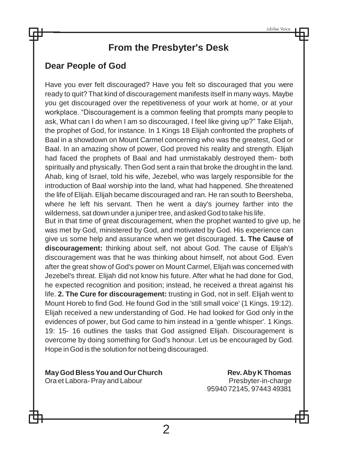# **From the Presbyter's Desk**

## **Dear People of God**

Have you ever felt discouraged? Have you felt so discouraged that you were ready to quit? That kind of discouragement manifests itself in many ways. Maybe you get discouraged over the repetitiveness of your work at home, or at your workplace. "Discouragement is a common feeling that prompts many people to ask, What can I do when I am so discouraged, I feel like giving up?" Take Elijah, the prophet of God, for instance. In 1 Kings 18 Elijah confronted the prophets of Baal in a showdown on Mount Carmel concerning who was the greatest, God or Baal. In an amazing show of power, God proved his reality and strength. Elijah had faced the prophets of Baal and had unmistakably destroyed them- both spiritually and physically. Then God sent a rain that broke the drought in the land. Ahab, king of Israel, told his wife, Jezebel, who was largely responsible for the introduction of Baal worship into the land, what had happened. She threatened the life of Elijah. Elijah became discouraged and ran. He ran south to Beersheba, where he left his servant. Then he went a day's journey farther into the wilderness, sat down under a juniper tree, and asked God to take his life. But in that time of great discouragement, when the prophet wanted to give up, he was met by God, ministered by God, and motivated by God. His experience can give us some help and assurance when we get discouraged. **1. The Cause of discouragement:** thinking about self, not about God. The cause of Elijah's discouragement was that he was thinking about himself, not about God. Even after the great show of God's power on Mount Carmel, Elijah was concerned with Jezebel's threat. Elijah did not know his future. After what he had done for God, he expected recognition and position; instead, he received a threat against his life. **2. The Cure for discouragement:** trusting in God, not in self. Elijah went to Mount Horeb to find God. He found God in the 'still small voice' (1 Kings. 19:12). Elijah received a new understanding of God. He had looked for God only in the evidences of power, but God came to him instead in a 'gentle whisper'. 1 Kings. 19: 15- 16 outlines the tasks that God assigned Elijah. Discouragement is overcome by doing something for God's honour. Let us be encouraged by God. Hope in God is the solution for not being discouraged.

**MayGod BlessYouand Our Church Rev.AbyK Thomas** Ora et Labora-Pray and Labour entering the Presbyter-in-charge

95940 72145, 97443 49381

 $\overline{2}$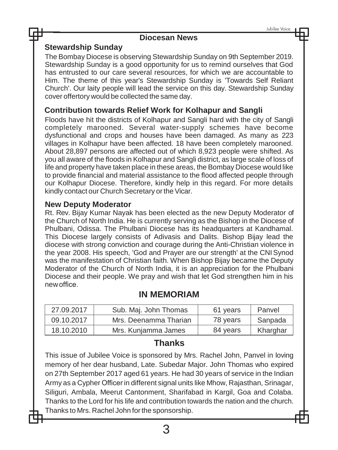#### **Diocesan News**

#### **Stewardship Sunday**

The Bombay Diocese is observing Stewardship Sunday on 9th September 2019. Stewardship Sunday is a good opportunity for us to remind ourselves that God has entrusted to our care several resources, for which we are accountable to Him. The theme of this year's Stewardship Sunday is 'Towards Self Reliant Church'. Our laity people will lead the service on this day. Stewardship Sunday cover offertory would be collected the same day.

#### **Contribution towards Relief Work for Kolhapur and Sangli**

Floods have hit the districts of Kolhapur and Sangli hard with the city of Sangli completely marooned. Several water-supply schemes have become dysfunctional and crops and houses have been damaged. As many as 223 villages in Kolhapur have been affected. 18 have been completely marooned. About 28,897 persons are affected out of which 8,923 people were shifted. As you all aware of the floods in Kolhapur and Sangli district, as large scale of loss of life and property have taken place in these areas, the Bombay Diocese would like to provide financial and material assistance to the flood affected people through our Kolhapur Diocese. Therefore, kindly help in this regard. For more details kindly contact our Church Secretary or the Vicar.

#### **New Deputy Moderator**

Rt. Rev. Bijay Kumar Nayak has been elected as the new Deputy Moderator of the Church of North India. He is currently serving as the Bishop in the Diocese of Phulbani, Odissa. The Phulbani Diocese has its headquarters at Kandhamal. This Diocese largely consists of Adivasis and Dalits. Bishop Bijay lead the diocese with strong conviction and courage during the Anti-Christian violence in the year 2008. His speech, 'God and Prayer are our strength' at the CNISynod was the manifestation of Christian faith. When Bishop Bijay became the Deputy Moderator of the Church of North India, it is an appreciation for the Phulbani Diocese and their people. We pray and wish that let God strengthen him in his new office.

#### **IN MEMORIAM**

| 27.09.2017 | Sub. Maj. John Thomas | 61 years | Panvel   |
|------------|-----------------------|----------|----------|
| 09.10.2017 | Mrs. Deenamma Tharian | 78 years | Sanpada  |
| 18.10.2010 | Mrs. Kunjamma James   | 84 years | Kharghar |

#### **Thanks**

This issue of Jubilee Voice is sponsored by Mrs. Rachel John, Panvel in loving memory of her dear husband, Late. Subedar Major. John Thomas who expired on 27th September 2017 aged 61 years. He had 30 years of service in the Indian Army as a Cypher Officer in different signal units like Mhow, Rajasthan, Srinagar, Siliguri, Ambala, Meerut Cantonment, Sharifabad in Kargil, Goa and Colaba. Thanks to the Lord for his life and contribution towards the nation and the church. Thanks to Mrs. Rachel John forthe sponsorship.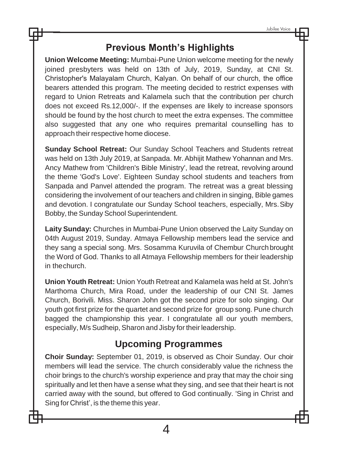# **Previous Month's Highlights**

**Union Welcome Meeting:** Mumbai-Pune Union welcome meeting for the newly joined presbyters was held on 13th of July, 2019, Sunday, at CNI St. Christopher's Malayalam Church, Kalyan. On behalf of our church, the office bearers attended this program. The meeting decided to restrict expenses with regard to Union Retreats and Kalamela such that the contribution per church does not exceed Rs.12,000/-. If the expenses are likely to increase sponsors should be found by the host church to meet the extra expenses. The committee also suggested that any one who requires premarital counselling has to approach their respective home diocese.

**Sunday School Retreat:** Our Sunday School Teachers and Students retreat was held on 13th July 2019, at Sanpada. Mr.Abhijit Mathew Yohannan and Mrs. Ancy Mathew from 'Children's Bible Ministry', lead the retreat, revolving around the theme 'God's Love'. Eighteen Sunday school students and teachers from Sanpada and Panvel attended the program. The retreat was a great blessing considering the involvement of our teachers and children in singing, Bible games and devotion. I congratulate our Sunday School teachers, especially, Mrs.Siby Bobby, the Sunday School Superintendent.

**Laity Sunday:** Churches in Mumbai-Pune Union observed the Laity Sunday on 04th August 2019, Sunday. Atmaya Fellowship members lead the service and they sang a special song. Mrs. Sosamma Kuruvila of Chembur Church brought the Word of God. Thanks to all Atmaya Fellowship members for their leadership in thechurch.

**Union Youth Retreat:** Union Youth Retreat and Kalamela was held at St. John's Marthoma Church, Mira Road, under the leadership of our CNI St. James Church, Borivili. Miss. Sharon John got the second prize for solo singing. Our youth got first prize for the quartet and second prize for group song. Pune church bagged the championship this year. I congratulate all our youth members, especially, M/s Sudheip, Sharon and Jisby for their leadership.

# **Upcoming Programmes**

**Choir Sunday:** September 01, 2019, is observed as Choir Sunday. Our choir members will lead the service. The church considerably value the richness the choir brings to the church's worship experience and pray that may the choir sing spiritually and let then have a sense what they sing, and see that their heart is not carried away with the sound, but offered to God continually. 'Sing in Christ and Sing for Christ', is the theme this year.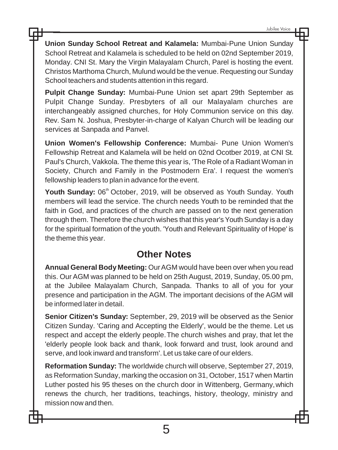**Union Sunday School Retreat and Kalamela:** Mumbai-Pune Union Sunday School Retreat and Kalamela is scheduled to be held on 02nd September 2019, Monday. CNI St. Mary the Virgin Malayalam Church, Parel is hosting the event. Christos Marthoma Church, Mulund would be the venue. Requesting our Sunday School teachers and students attention in this regard.

**Pulpit Change Sunday:** Mumbai-Pune Union set apart 29th September as Pulpit Change Sunday. Presbyters of all our Malayalam churches are interchangeably assigned churches, for Holy Communion service on this day. Rev. Sam N. Joshua, Presbyter-in-charge of Kalyan Church will be leading our services at Sanpada and Panvel.

**Union Women's Fellowship Conference:** Mumbai- Pune Union Women's Fellowship Retreat and Kalamela will be held on 02nd Ocotber 2019, at CNI St. Paul's Church, Vakkola. The theme this year is, 'The Role of a Radiant Woman in Society, Church and Family in the Postmodern Era'. I request the women's fellowship leaders to plan in advance for the event.

Youth Sunday: 06<sup>th</sup> October, 2019, will be observed as Youth Sunday. Youth members will lead the service. The church needs Youth to be reminded that the faith in God, and practices of the church are passed on to the next generation through them. Therefore the church wishes that this year's Youth Sunday is a day for the spiritual formation of the youth. 'Youth and Relevant Spirituality of Hope' is the theme this year.

## **Other Notes**

**Annual General Body Meeting:** OurAGM would have been over when you read this. Our AGM was planned to be held on 25th August, 2019, Sunday, 05.00 pm, at the Jubilee Malayalam Church, Sanpada. Thanks to all of you for your presence and participation in the AGM. The important decisions of the AGM will be informed later in detail.

**Senior Citizen's Sunday:** September, 29, 2019 will be observed as the Senior Citizen Sunday. 'Caring and Accepting the Elderly', would be the theme. Let us respect and accept the elderly people.The church wishes and pray, that let the 'elderly people look back and thank, look forward and trust, look around and serve, and look inward and transform'. Let us take care of our elders.

**Reformation Sunday:** The worldwide church will observe, September 27, 2019, as Reformation Sunday, marking the occasion on 31, October, 1517 when Martin Luther posted his 95 theses on the church door in Wittenberg, Germany,which renews the church, her traditions, teachings, history, theology, ministry and mission now and then.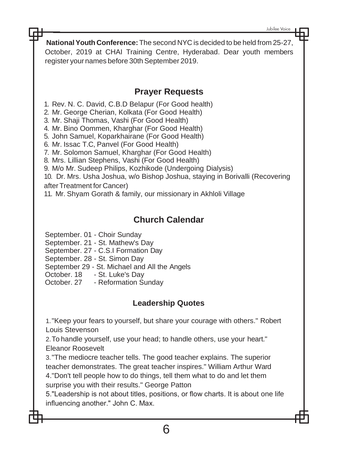Jubilee Voice

**NationalYouth Conference:**The second NYC is decided to be held from 25-27, October, 2019 at CHAI Training Centre, Hyderabad. Dear youth members register your names before 30th September 2019.

## **Prayer Requests**

1. Rev. N. C. David, C.B.D Belapur (For Good health)

2. Mr. George Cherian, Kolkata (For Good Health)

3. Mr. Shaji Thomas, Vashi (For Good Health)

4. Mr. Bino Oommen, Kharghar (For Good Health)

5. John Samuel, Koparkhairane (For Good Health)

6. Mr. Issac T.C, Panvel (For Good Health)

7. Mr. Solomon Samuel, Kharghar (For Good Health)

8. Mrs. Lillian Stephens, Vashi (For Good Health)

9. M/o Mr. Sudeep Philips, Kozhikode (Undergoing Dialysis)

10. Dr. Mrs. Usha Joshua, w/o Bishop Joshua, staying in Borivalli (Recovering afterTreatment for Cancer)

11. Mr. Shyam Gorath & family, our missionary in Akhloli Village

## **Church Calendar**

September. 01 - Choir Sunday

September. 21 - St. Mathew's Day

September. 27 - C.S.I Formation Day

September. 28 - St. Simon Day

September 29 - St. Michael and All the Angels

October. 18 - St. Luke's Day

October. 27 - Reformation Sunday

## **Leadership Quotes**

1."Keep your fears to yourself, but share your courage with others." Robert Louis Stevenson

2.To handle yourself, use your head; to handle others, use your heart." Eleanor Roosevelt

3."The mediocre teacher tells. The good teacher explains. The superior teacher demonstrates. The great teacher inspires." William Arthur Ward 4."Don't tell people how to do things, tell them what to do and let them surprise you with their results." George Patton

5."Leadership is not about titles, positions, or flow charts. It is about one life influencing another." John C. Max.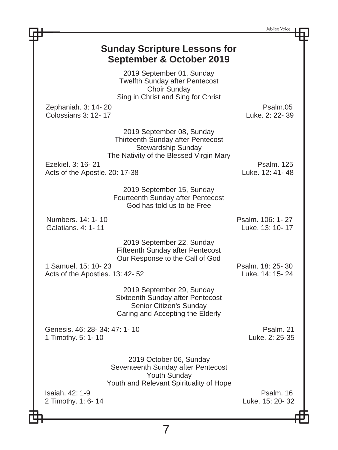|                                                                                                                                                            | Jubilee Voice                        |  |
|------------------------------------------------------------------------------------------------------------------------------------------------------------|--------------------------------------|--|
| <b>Sunday Scripture Lessons for</b><br>September & October 2019                                                                                            |                                      |  |
| 2019 September 01, Sunday<br><b>Twelfth Sunday after Pentecost</b><br>Choir Sunday<br>Sing in Christ and Sing for Christ                                   |                                      |  |
| Zephaniah. 3: 14- 20<br>Colossians 3: 12-17                                                                                                                | Psalm.05<br>Luke, 2: 22-39           |  |
| 2019 September 08, Sunday<br>Thirteenth Sunday after Pentecost<br>Stewardship Sunday<br>The Nativity of the Blessed Virgin Mary                            |                                      |  |
| Ezekiel, 3: 16-21<br>Acts of the Apostle. 20: 17-38                                                                                                        | <b>Psalm. 125</b><br>Luke, 12: 41-48 |  |
| 2019 September 15, Sunday<br>Fourteenth Sunday after Pentecost<br>God has told us to be Free                                                               |                                      |  |
| Numbers, 14: 1-10<br>Galatians, 4: 1-11                                                                                                                    | Psalm. 106: 1-27<br>Luke. 13: 10-17  |  |
| 2019 September 22, Sunday<br>Fifteenth Sunday after Pentecost<br>Our Response to the Call of God<br>1 Samuel, 15: 10-23<br>Acts of the Apostles. 13: 42-52 | Psalm, 18: 25-30<br>Luke, 14: 15-24  |  |
| 2019 September 29, Sunday<br>Sixteenth Sunday after Pentecost<br>Senior Citizen's Sunday<br>Caring and Accepting the Elderly                               |                                      |  |
| Genesis. 46: 28-34: 47: 1-10<br>1 Timothy. 5: 1-10                                                                                                         | Psalm, 21<br>Luke, 2: 25-35          |  |
| 2019 October 06, Sunday<br>Seventeenth Sunday after Pentecost<br>Youth Sunday<br>Youth and Relevant Spirituality of Hope                                   |                                      |  |
| Isaiah, 42: 1-9<br>2 Timothy. 1: 6-14                                                                                                                      | Psalm, 16<br>Luke. 15: 20-32         |  |
|                                                                                                                                                            |                                      |  |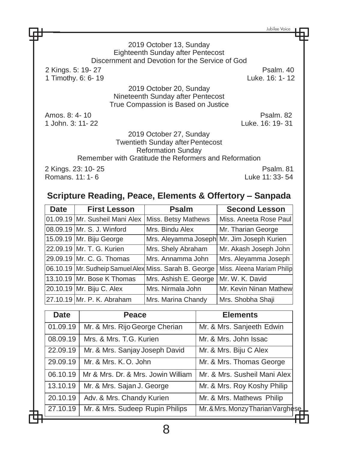Jubilee Voice

2019 October 13, Sunday Eighteenth Sunday after Pentecost Discernment and Devotion for the Service of God 2 Kings. 5: 19- 27 Psalm. 40 1 Timothy. 6: 6-19 2019 October 20, Sunday Nineteenth Sunday after Pentecost True Compassion is Based on Justice Amos. 8: 4-10 **Psalm. 82** 1 John. 3: 11- 22 Luke. 16: 19- 31 2019 October 27, Sunday Twentieth Sunday after Pentecost Reformation Sunday Remember with Gratitude the Reformers and Reformation 2 Kings. 23: 10- 25 Psalm. 81 Romans. 11: 1- 6

## **Scripture Reading, Peace, Elements & Offertory – Sanpada**

| Date | <b>First Lesson</b>            | <b>Psalm</b>                                           | <b>Second Lesson</b>       |
|------|--------------------------------|--------------------------------------------------------|----------------------------|
|      | 01.09.19 Mr. Susheil Mani Alex | Miss. Betsy Mathews                                    | Miss. Aneeta Rose Paul     |
|      | 08.09.19 Mr. S. J. Winford     | Mrs. Bindu Alex                                        | Mr. Tharian George         |
|      | 15.09.19 Mr. Biju George       | Mrs. Aleyamma Joseph Mr. Jim Joseph Kurien             |                            |
|      | 22.09.19 Mr. T. G. Kurien      | Mrs. Shely Abraham                                     | Mr. Akash Joseph John      |
|      | 29.09.19 Mr. C. G. Thomas      | Mrs. Annamma John                                      | Mrs. Aleyamma Joseph       |
|      |                                | 06.10.19 Mr. Sudheip Samuel Alex Miss. Sarah B. George | Miss. Aleena Mariam Philip |
|      | 13.10.19 Mr. Bose K Thomas     | Mrs. Ashish E. George                                  | Mr. W. K. David            |
|      | 20.10.19 Mr. Biju C. Alex      | Mrs. Nirmala John                                      | Mr. Kevin Ninan Mathew     |
|      | 27.10.19 Mr. P. K. Abraham     | Mrs. Marina Chandy                                     | Mrs. Shobha Shaji          |

| Date     | Peace                              | <b>Elements</b>                   |  |
|----------|------------------------------------|-----------------------------------|--|
| 01.09.19 | Mr. & Mrs. Rijo George Cherian     | Mr. & Mrs. Sanjeeth Edwin         |  |
| 08.09.19 | Mrs. & Mrs. T.G. Kurien            | Mr. & Mrs. John Issac             |  |
| 22.09.19 | Mr. & Mrs. Sanjay Joseph David     | Mr. & Mrs. Biju C Alex            |  |
| 29.09.19 | Mr. & Mrs. K.O. John               | Mr. & Mrs. Thomas George          |  |
| 06.10.19 | Mr & Mrs. Dr. & Mrs. Jowin William | Mr. & Mrs. Susheil Mani Alex      |  |
| 13.10.19 | Mr. & Mrs. Sajan J. George         | Mr. & Mrs. Roy Koshy Philip       |  |
| 20.10.19 | Adv. & Mrs. Chandy Kurien          | Mr. & Mrs. Mathews Philip         |  |
| 27.10.19 | Mr. & Mrs. Sudeep Rupin Philips    | Mr. & Mrs. Monzy Tharian Varghese |  |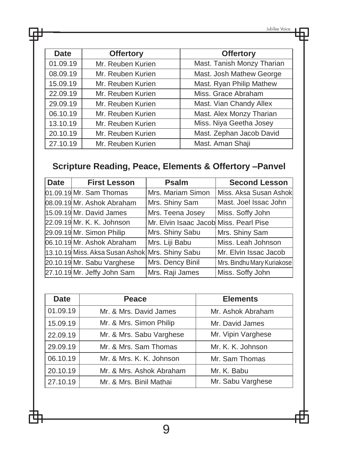| <b>Date</b> | <b>Offertory</b>  | <b>Offertory</b>           |
|-------------|-------------------|----------------------------|
| 01.09.19    | Mr. Reuben Kurien | Mast. Tanish Monzy Tharian |
| 08.09.19    | Mr. Reuben Kurien | Mast. Josh Mathew George   |
| 15.09.19    | Mr. Reuben Kurien | Mast. Ryan Philip Mathew   |
| 22.09.19    | Mr. Reuben Kurien | Miss. Grace Abraham        |
| 29.09.19    | Mr. Reuben Kurien | Mast. Vian Chandy Allex    |
| 06.10.19    | Mr. Reuben Kurien | Mast. Alex Monzy Tharian   |
| 13.10.19    | Mr. Reuben Kurien | Miss. Niya Geetha Josey    |
| 20.10.19    | Mr. Reuben Kurien | Mast. Zephan Jacob David   |
| 27.10.19    | Mr. Reuben Kurien | Mast. Aman Shaji           |

ᇿ

# **Scripture Reading, Peace, Elements & Offertory –Panvel**

| <b>Date</b> | <b>First Lesson</b>                             | <b>Psalm</b>                           | <b>Second Lesson</b>       |
|-------------|-------------------------------------------------|----------------------------------------|----------------------------|
|             | 01.09.19 Mr. Sam Thomas                         | Mrs. Mariam Simon                      | Miss. Aksa Susan Ashok     |
|             | 08.09.19 Mr. Ashok Abraham                      | Mrs. Shiny Sam                         | Mast. Joel Issac John      |
|             | 15.09.19 Mr. David James                        | Mrs. Teena Josey                       | Miss. Soffy John           |
|             | 22.09.19 Mr. K. K. Johnson                      | Mr. Elvin Isaac Jacob Miss. Pearl Pise |                            |
|             | 29.09.19 Mr. Simon Philip                       | Mrs. Shiny Sabu                        | Mrs. Shiny Sam             |
|             | 06.10.19 Mr. Ashok Abraham                      | Mrs. Liji Babu                         | Miss. Leah Johnson         |
|             | 13.10.19 Miss. Aksa Susan Ashok Mrs. Shiny Sabu |                                        | Mr. Elvin Issac Jacob      |
|             | 20.10.19 Mr. Sabu Varghese                      | Mrs. Dency Binil                       | Mrs. Bindhu Mary Kuriakose |
|             | 27.10.19 Mr. Jeffy John Sam                     | Mrs. Raji James                        | Miss. Soffy John           |

| <b>Date</b> | Peace                    | <b>Elements</b>    |  |
|-------------|--------------------------|--------------------|--|
| 01.09.19    | Mr. & Mrs. David James   | Mr. Ashok Abraham  |  |
| 15.09.19    | Mr. & Mrs. Simon Philip  | Mr. David James    |  |
| 22.09.19    | Mr. & Mrs. Sabu Varghese | Mr. Vipin Varghese |  |
| 29.09.19    | Mr. & Mrs. Sam Thomas    | Mr. K. K. Johnson  |  |
| 06.10.19    | Mr. & Mrs. K. K. Johnson | Mr. Sam Thomas     |  |
| 20.10.19    | Mr. & Mrs. Ashok Abraham | Mr. K. Babu        |  |
| 27.10.19    | Mr. & Mrs. Binil Mathai  | Mr. Sabu Varghese  |  |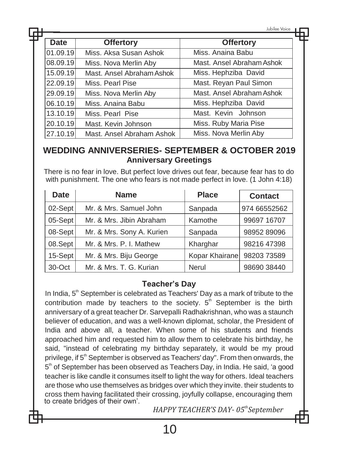|   |          |                           | Jubilee Voice             |  |
|---|----------|---------------------------|---------------------------|--|
| Η |          |                           |                           |  |
|   | Date     | <b>Offertory</b>          | <b>Offertory</b>          |  |
|   | 01.09.19 | Miss. Aksa Susan Ashok    | Miss. Anaina Babu         |  |
|   | 08.09.19 | Miss. Nova Merlin Aby     | Mast. Ansel Abraham Ashok |  |
|   | 15.09.19 | Mast. Ansel Abraham Ashok | Miss. Hephziba David      |  |
|   | 22.09.19 | Miss. Pearl Pise          | Mast. Reyan Paul Simon    |  |
|   | 29.09.19 | Miss. Nova Merlin Aby     | Mast. Ansel Abraham Ashok |  |
|   | 06.10.19 | Miss. Anaina Babu         | Miss. Hephziba David      |  |
|   | 13.10.19 | Miss, Pearl Pise          | Mast. Kevin Johnson       |  |
|   | 20.10.19 | Mast. Kevin Johnson       | Miss. Ruby Maria Pise     |  |
|   | 27.10.19 | Mast. Ansel Abraham Ashok | Miss. Nova Merlin Aby     |  |

## **WEDDING ANNIVERSERIES- SEPTEMBER & OCTOBER 2019 Anniversary Greetings**

There is no fear in love. But perfect love drives out fear, because fear has to do with punishment. The one who fears is not made perfect in love. (1 John 4:18)

| <b>Date</b> | <b>Name</b>               | <b>Place</b>   | <b>Contact</b> |
|-------------|---------------------------|----------------|----------------|
| $02$ -Sept  | Mr. & Mrs. Samuel John    | Sanpada        | 974 66552562   |
| $05-Sept$   | Mr. & Mrs. Jibin Abraham  | Kamothe        | 99697 16707    |
| 08-Sept     | Mr. & Mrs. Sony A. Kurien | Sanpada        | 98952 89096    |
| 08.Sept     | Mr. & Mrs. P. I. Mathew   | Kharghar       | 98216 47398    |
| 15-Sept     | Mr. & Mrs. Biju George    | Kopar Khairane | 98203 73589    |
| 30-Oct      | Mr. & Mrs. T. G. Kurian   | Nerul          | 98690 38440    |

#### **Teacher's Day**

In India, 5<sup>th</sup> September is celebrated as Teachers' Day as a mark of tribute to the contribution made by teachers to the society.  $5<sup>th</sup>$  September is the birth anniversary of a great teacher Dr. Sarvepalli Radhakrishnan, who was a staunch believer of education, and was a well-known diplomat, scholar, the President of India and above all, a teacher. When some of his students and friends approached him and requested him to allow them to celebrate his birthday, he said, "instead of celebrating my birthday separately, it would be my proud privilege, if 5<sup>th</sup> September is observed as Teachers' day". From then onwards, the 5<sup>th</sup> of September has been observed as Teachers Day, in India. He said, 'a good teacher is like candle it consumes itself to light the way for others. Ideal teachers are those who use themselves as bridges over which they invite. their students to cross them having facilitated their crossing, joyfully collapse, encouraging them to create bridges of their own'.

*HAPPY TEACHER'S DAY- 05thSeptember*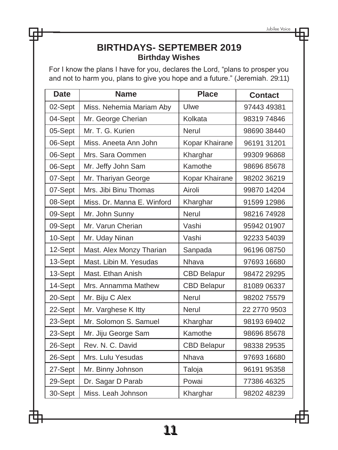## **BIRTHDAYS- SEPTEMBER 2019 Birthday Wishes**

For I know the plans I have for you, declares the Lord, "plans to prosper you and not to harm you, plans to give you hope and a future." (Jeremiah. 29:11)

| <b>Date</b> | <b>Name</b>                | <b>Place</b>       | <b>Contact</b> |
|-------------|----------------------------|--------------------|----------------|
| 02-Sept     | Miss. Nehemia Mariam Aby   | Ulwe               | 97443 49381    |
| 04-Sept     | Mr. George Cherian         | Kolkata            | 9831974846     |
| 05-Sept     | Mr. T. G. Kurien           | <b>Nerul</b>       | 98690 38440    |
| 06-Sept     | Miss. Aneeta Ann John      | Kopar Khairane     | 96191 31201    |
| 06-Sept     | Mrs. Sara Oommen           | Kharghar           | 99309 96868    |
| 06-Sept     | Mr. Jeffy John Sam         | Kamothe            | 98696 85678    |
| 07-Sept     | Mr. Thariyan George        | Kopar Khairane     | 98202 36219    |
| 07-Sept     | Mrs. Jibi Binu Thomas      | Airoli             | 99870 14204    |
| 08-Sept     | Miss. Dr. Manna E. Winford | Kharghar           | 91599 12986    |
| 09-Sept     | Mr. John Sunny             | Nerul              | 98216 74928    |
| 09-Sept     | Mr. Varun Cherian          | Vashi              | 95942 01907    |
| 10-Sept     | Mr. Uday Ninan             | Vashi              | 92233 54039    |
| 12-Sept     | Mast. Alex Monzy Tharian   | Sanpada            | 96196 08750    |
| 13-Sept     | Mast. Libin M. Yesudas     | Nhava              | 97693 16680    |
| 13-Sept     | Mast. Ethan Anish          | <b>CBD Belapur</b> | 98472 29295    |
| 14-Sept     | Mrs. Annamma Mathew        | <b>CBD Belapur</b> | 81089 06337    |
| 20-Sept     | Mr. Biju C Alex            | Nerul              | 9820275579     |
| 22-Sept     | Mr. Varghese K Itty        | <b>Nerul</b>       | 22 2770 9503   |
| 23-Sept     | Mr. Solomon S. Samuel      | Kharghar           | 98193 69402    |
| 23-Sept     | Mr. Jiju George Sam        | Kamothe            | 98696 85678    |
| 26-Sept     | Rev. N. C. David           | <b>CBD Belapur</b> | 98338 29535    |
| 26-Sept     | Mrs. Lulu Yesudas          | Nhava              | 97693 16680    |
| 27-Sept     | Mr. Binny Johnson          | Taloja             | 96191 95358    |
| 29-Sept     | Dr. Sagar D Parab          | Powai              | 77386 46325    |
| 30-Sept     | Miss. Leah Johnson         | Kharghar           | 98202 48239    |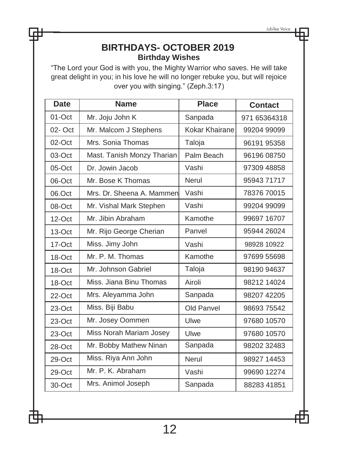## **BIRTHDAYS- OCTOBER 2019 Birthday Wishes**

"The Lord your God is with you, the Mighty Warrior who saves. He will take great delight in you; in his love he will no longer rebuke you, but will rejoice over you with singing." (Zeph.3:17)

| <b>Date</b> | <b>Name</b>                | <b>Place</b>   | <b>Contact</b> |
|-------------|----------------------------|----------------|----------------|
| 01-Oct      | Mr. Joju John K            | Sanpada        | 971 65364318   |
| $02 - Oct$  | Mr. Malcom J Stephens      | Kokar Khairane | 99204 99099    |
| $02$ -Oct   | Mrs. Sonia Thomas          | Taloja         | 96191 95358    |
| 03-Oct      | Mast. Tanish Monzy Tharian | Palm Beach     | 96196 08750    |
| $05$ -Oct   | Dr. Jowin Jacob            | Vashi          | 97309 48858    |
| 06-Oct      | Mr. Bose K Thomas          | <b>Nerul</b>   | 9594371717     |
| 06.Oct      | Mrs. Dr. Sheena A. Mammen  | Vashi          | 78376 70015    |
| 08-Oct      | Mr. Vishal Mark Stephen    | Vashi          | 99204 99099    |
| $12$ -Oct   | Mr. Jibin Abraham          | Kamothe        | 99697 16707    |
| 13-Oct      | Mr. Rijo George Cherian    | Panvel         | 95944 26024    |
| 17-Oct      | Miss. Jimy John            | Vashi          | 98928 10922    |
| 18-Oct      | Mr. P. M. Thomas           | Kamothe        | 97699 55698    |
| 18-Oct      | Mr. Johnson Gabriel        | Taloja         | 98190 94637    |
| 18-Oct      | Miss. Jiana Binu Thomas    | Airoli         | 98212 14024    |
| 22-Oct      | Mrs. Aleyamma John         | Sanpada        | 98207 42205    |
| 23-Oct      | Miss. Biji Babu            | Old Panvel     | 98693 75542    |
| 23-Oct      | Mr. Josey Oommen           | Ulwe           | 97680 10570    |
| 23-Oct      | Miss Norah Mariam Josey    | Ulwe           | 97680 10570    |
| 28-Oct      | Mr. Bobby Mathew Ninan     | Sanpada        | 98202 32483    |
| 29-Oct      | Miss. Riya Ann John        | Nerul          | 98927 14453    |
| 29-Oct      | Mr. P. K. Abraham          | Vashi          | 99690 12274    |
| 30-Oct      | Mrs. Animol Joseph         | Sanpada        | 88283 41851    |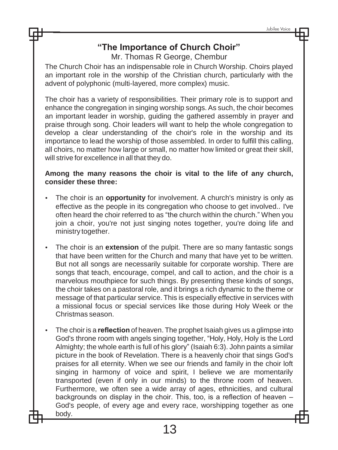## **"The Importance of Church Choir"**

Mr. Thomas R George, Chembur

The Church Choir has an indispensable role in Church Worship. Choirs played an important role in the worship of the Christian church, particularly with the advent of polyphonic (multi-layered, more complex) music.

The choir has a variety of responsibilities. Their primary role is to support and enhance the congregation in singing worship songs. As such, the choir becomes an important leader in worship, guiding the gathered assembly in prayer and praise through song. Choir leaders will want to help the whole congregation to develop a clear understanding of the choir's role in the worship and its importance to lead the worship of those assembled. In order to fulfill this calling, all choirs, no matter how large or small, no matter how limited or great their skill, will strive for excellence in all that they do.

#### **Among the many reasons the choir is vital to the life of any church, consider these three:**

- The choir is an **opportunity** for involvement. A church's ministry is only as effective as the people in its congregation who choose to get involved.. I've often heard the choir referred to as "the church within the church." When you join a choir, you're not just singing notes together, you're doing life and ministry together.
- The choir is an **extension** of the pulpit. There are so many fantastic songs that have been written for the Church and many that have yet to be written. But not all songs are necessarily suitable for corporate worship. There are songs that teach, encourage, compel, and call to action, and the choir is a marvelous mouthpiece for such things. By presenting these kinds of songs, the choir takes on a pastoral role, and it brings a rich dynamic to the theme or message of that particular service. This is especially effective in services with a missional focus or special services like those during Holy Week or the Christmas season.
- The choir is a **reflection** of heaven. The prophet Isaiah gives us a glimpse into God's throne room with angels singing together, "Holy, Holy, Holy is the Lord Almighty; the whole earth is full of his glory" (Isaiah 6:3). John paints a similar picture in the book of Revelation. There is a heavenly choir that sings God's praises for all eternity. When we see our friends and family in the choir loft singing in harmony of voice and spirit, I believe we are momentarily transported (even if only in our minds) to the throne room of heaven. Furthermore, we often see a wide array of ages, ethnicities, and cultural backgrounds on display in the choir. This, too, is a reflection of heaven – God's people, of every age and every race, worshipping together as one body.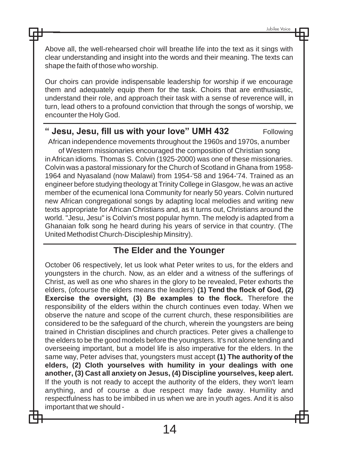Above all, the well-rehearsed choir will breathe life into the text as it sings with clear understanding and insight into the words and their meaning. The texts can shape the faith of those who worship.

Our choirs can provide indispensable leadership for worship if we encourage them and adequately equip them for the task. Choirs that are enthusiastic, understand their role, and approach their task with a sense of reverence will, in turn, lead others to a profound conviction that through the songs of worship, we encounter the Holy God.

## **Jesu, Jesu, fill us with your love" UMH 432** Following

African independence movements throughout the 1960s and 1970s, a number of Western missionaries encouraged the composition of Christian song inAfrican idioms. Thomas S. Colvin (1925-2000) was one of these missionaries. Colvin was a pastoral missionary for the Church of Scotland in Ghana from 1958- 1964 and Nyasaland (now Malawi) from 1954-'58 and 1964-'74. Trained as an engineer before studying theology at Trinity College in Glasgow, he was an active member of the ecumenical Iona Community for nearly 50 years. Colvin nurtured new African congregational songs by adapting local melodies and writing new texts appropriate forAfrican Christians and, as it turns out, Christians around the world. "Jesu, Jesu" is Colvin's most popular hymn. The melody is adapted from a Ghanaian folk song he heard during his years of service in that country. (The United Methodist Church-Discipleship Minsitry).

## **The Elder and the Younger**

October 06 respectively, let us look what Peter writes to us, for the elders and youngsters in the church. Now, as an elder and a witness of the sufferings of Christ, as well as one who shares in the glory to be revealed, Peter exhorts the elders, (ofcourse the elders means the leaders) **(1) Tend the flock of God, (2) Exercise the oversight, (3) Be examples to the flock.** Therefore the responsibility of the elders within the church continues even today. When we observe the nature and scope of the current church, these responsibilities are considered to be the safeguard of the church, wherein the youngsters are being trained in Christian disciplines and church practices. Peter gives a challenge to the elders to be the good models before the youngsters. It's not alone tending and overseeing important, but a model life is also imperative for the elders. In the same way, Peter advises that, youngsters must accept **(1) The authority of the elders, (2) Cloth yourselves with humility in your dealings with one another, (3) Cast all anxiety on Jesus, (4) Discipline yourselves, keep alert.**  If the youth is not ready to accept the authority of the elders, they won't learn anything, and of course a due respect may fade away. Humility and respectfulness has to be imbibed in us when we are in youth ages. And it is also important that we should -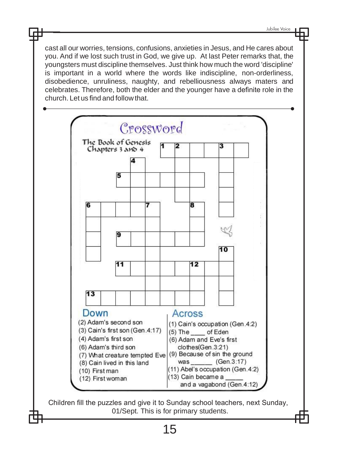cast all our worries, tensions, confusions, anxieties in Jesus, and He cares about you. And if we lost such trust in God, we give up. At last Peter remarks that, the youngsters must discipline themselves. Just think how much the word 'discipline' is important in a world where the words like indiscipline, non-orderliness, disobedience, unruliness, naughty, and rebelliousness always maters and celebrates. Therefore, both the elder and the younger have a definite role in the church. Let us find and follow that.



Children fill the puzzles and give it to Sunday school teachers, next Sunday, 01/Sept. This is for primary students.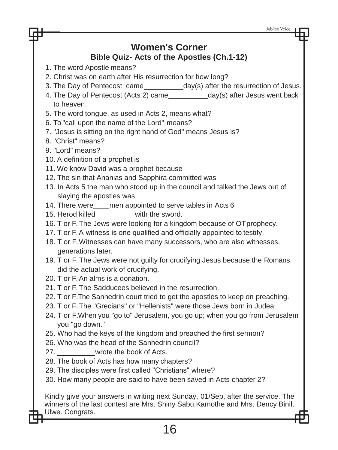## **Women's Corner Bible Quiz- Acts of the Apostles (Ch.1-12)**

- 1. The word Apostle means?
- 2. Christ was on earth after His resurrection for how long?
- 3. The Day of Pentecost came day(s) after the resurrection of Jesus.
- 4. The Day of Pentecost (Acts 2) came \_\_\_\_\_\_\_\_\_\_\_ day(s) after Jesus went back to heaven.
- 5. The word tongue, as used in Acts 2, means what?
- 6. To "call upon the name of the Lord" means?
- 7. "Jesus is sitting on the right hand of God" means Jesus is?
- 8. "Christ" means?
- 9. "Lord" means?
- 10. A definition of a prophet is
- 11. We know David was a prophet because
- 12. The sin that Ananias and Sapphira committed was
- 13. In Acts 5 the man who stood up in the council and talked the Jews out of slaying the apostles was
- 14. There were\_\_\_\_men appointed to serve tables in Acts 6
- 15. Herod killed with the sword.
- 16. T or F. The Jews were looking for a kingdom because of OT prophecy.
- 17. T or F. A witness is one qualified and officially appointed to testify.
- 18. T or F. Witnesses can have many successors, who are also witnesses, generations later.
- 19. T or F. The Jews were not guilty for crucifying Jesus because the Romans did the actual work of crucifying.
- 20. T or F. An alms is a donation.
- 21. T or F. The Sadducees believed in the resurrection.
- 22. T or F.The Sanhedrin court tried to get the apostles to keep on preaching.
- 23. T or F. The "Grecians" or "Hellenists" were those Jews born in Judea
- 24. T or F.When you "go to" Jerusalem, you go up; when you go from Jerusalem you "go down."
- 25. Who had the keys of the kingdom and preached the first sermon?
- 26. Who was the head of the Sanhedrin council?
- 27. wrote the book of Acts.
- 28. The book of Acts has how many chapters?
- 29. The disciples were first called "Christians" where?
- 30. How many people are said to have been saved in Acts chapter 2?

Kindly give your answers in writing next Sunday, 01/Sep, after the service. The winners of the last contest are Mrs. Shiny Sabu,Kamothe and Mrs. Dency Binil, Ulwe. Congrats.